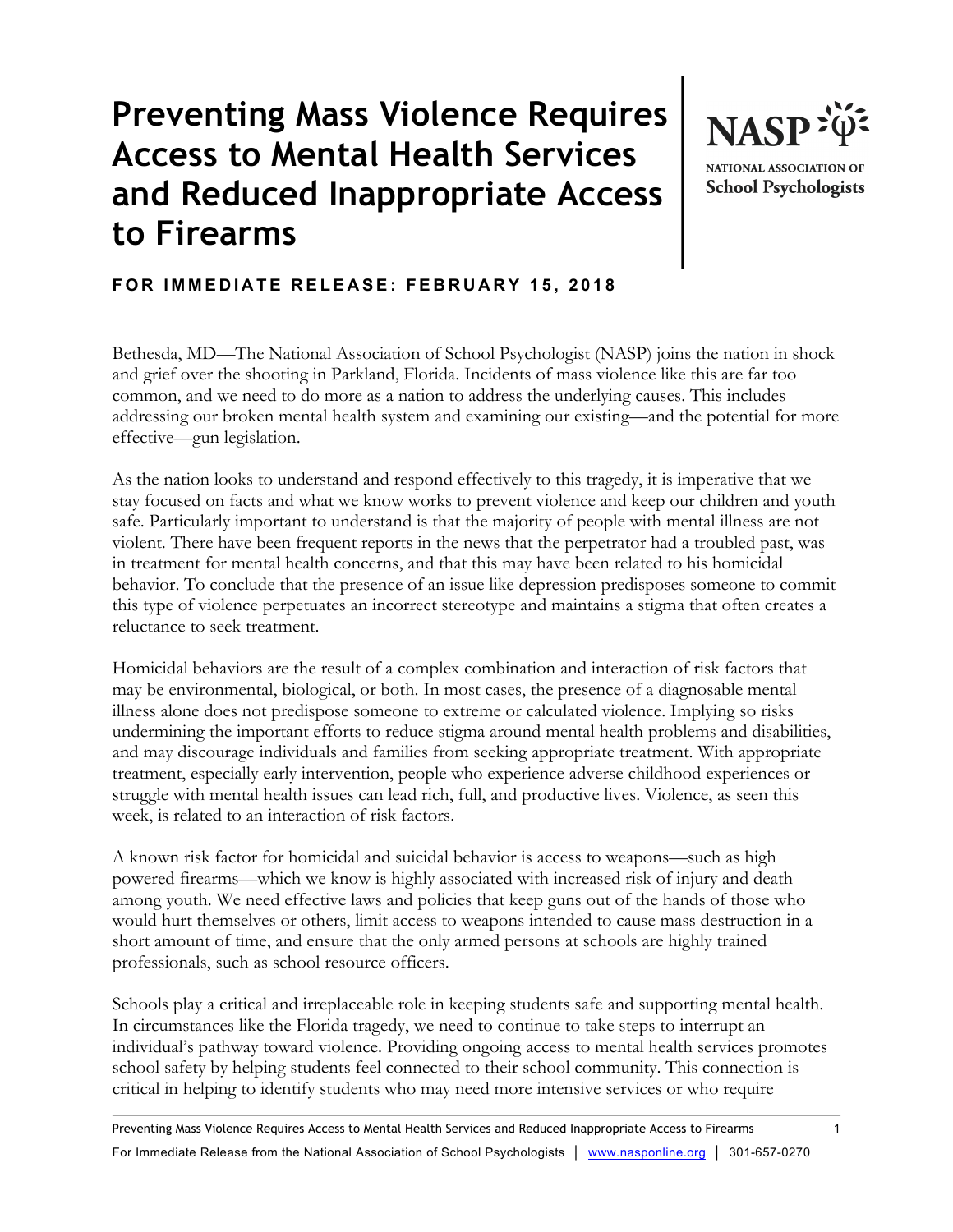## **Preventing Mass Violence Requires Access to Mental Health Services and Reduced Inappropriate Access to Firearms**



**School Psychologists** 

## **FOR IMMEDIATE RELEASE: FEBRUARY 15, 2018**

Bethesda, MD—The National Association of School Psychologist (NASP) joins the nation in shock and grief over the shooting in Parkland, Florida. Incidents of mass violence like this are far too common, and we need to do more as a nation to address the underlying causes. This includes addressing our broken mental health system and examining our existing—and the potential for more effective—gun legislation.

As the nation looks to understand and respond effectively to this tragedy, it is imperative that we stay focused on facts and what we know works to prevent violence and keep our children and youth safe. Particularly important to understand is that the majority of people with mental illness are not violent. There have been frequent reports in the news that the perpetrator had a troubled past, was in treatment for mental health concerns, and that this may have been related to his homicidal behavior. To conclude that the presence of an issue like depression predisposes someone to commit this type of violence perpetuates an incorrect stereotype and maintains a stigma that often creates a reluctance to seek treatment.

Homicidal behaviors are the result of a complex combination and interaction of risk factors that may be environmental, biological, or both. In most cases, the presence of a diagnosable mental illness alone does not predispose someone to extreme or calculated violence. Implying so risks undermining the important efforts to reduce stigma around mental health problems and disabilities, and may discourage individuals and families from seeking appropriate treatment. With appropriate treatment, especially early intervention, people who experience adverse childhood experiences or struggle with mental health issues can lead rich, full, and productive lives. Violence, as seen this week, is related to an interaction of risk factors.

A known risk factor for homicidal and suicidal behavior is access to weapons—such as high powered firearms—which we know is highly associated with increased risk of injury and death among youth. We need effective laws and policies that keep guns out of the hands of those who would hurt themselves or others, limit access to weapons intended to cause mass destruction in a short amount of time, and ensure that the only armed persons at schools are highly trained professionals, such as school resource officers.

Schools play a critical and irreplaceable role in keeping students safe and supporting mental health. In circumstances like the Florida tragedy, we need to continue to take steps to interrupt an individual's pathway toward violence. Providing ongoing access to mental health services promotes school safety by helping students feel connected to their school community. This connection is critical in helping to identify students who may need more intensive services or who require